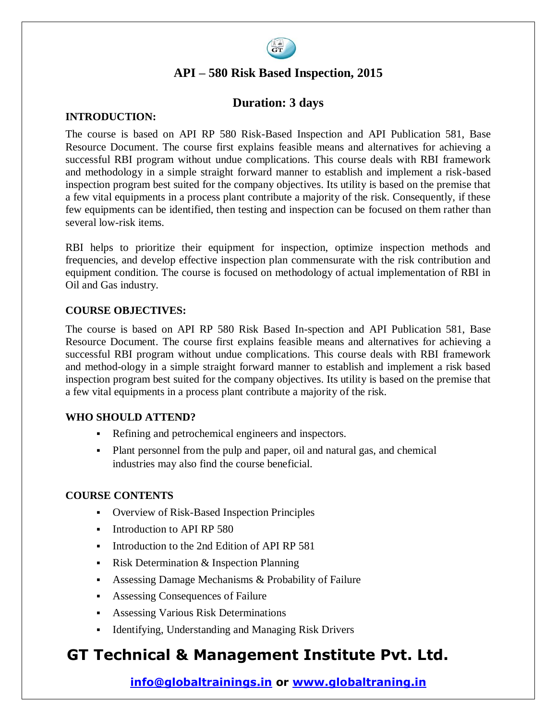

## **API – 580 Risk Based Inspection, 2015**

### **Duration: 3 days**

#### **INTRODUCTION:**

The course is based on API RP 580 Risk-Based Inspection and API Publication 581, Base Resource Document. The course first explains feasible means and alternatives for achieving a successful RBI program without undue complications. This course deals with RBI framework and methodology in a simple straight forward manner to establish and implement a risk-based inspection program best suited for the company objectives. Its utility is based on the premise that a few vital equipments in a process plant contribute a majority of the risk. Consequently, if these few equipments can be identified, then testing and inspection can be focused on them rather than several low-risk items.

RBI helps to prioritize their equipment for inspection, optimize inspection methods and frequencies, and develop effective inspection plan commensurate with the risk contribution and equipment condition. The course is focused on methodology of actual implementation of RBI in Oil and Gas industry.

#### **COURSE OBJECTIVES:**

The course is based on API RP 580 Risk Based In-spection and API Publication 581, Base Resource Document. The course first explains feasible means and alternatives for achieving a successful RBI program without undue complications. This course deals with RBI framework and method-ology in a simple straight forward manner to establish and implement a risk based inspection program best suited for the company objectives. Its utility is based on the premise that a few vital equipments in a process plant contribute a majority of the risk.

#### **WHO SHOULD ATTEND?**

- Refining and petrochemical engineers and inspectors.
- Plant personnel from the pulp and paper, oil and natural gas, and chemical industries may also find the course beneficial.

#### **COURSE CONTENTS**

- Overview of Risk-Based Inspection Principles
- Introduction to API RP 580
- Introduction to the 2nd Edition of API RP 581
- Risk Determination  $&$  Inspection Planning
- Assessing Damage Mechanisms & Probability of Failure
- Assessing Consequences of Failure
- Assessing Various Risk Determinations
- Identifying, Understanding and Managing Risk Drivers

## **GT Technical & Management Institute Pvt. Ltd.**

### **info@globaltrainings.in or www.globaltraning.in**